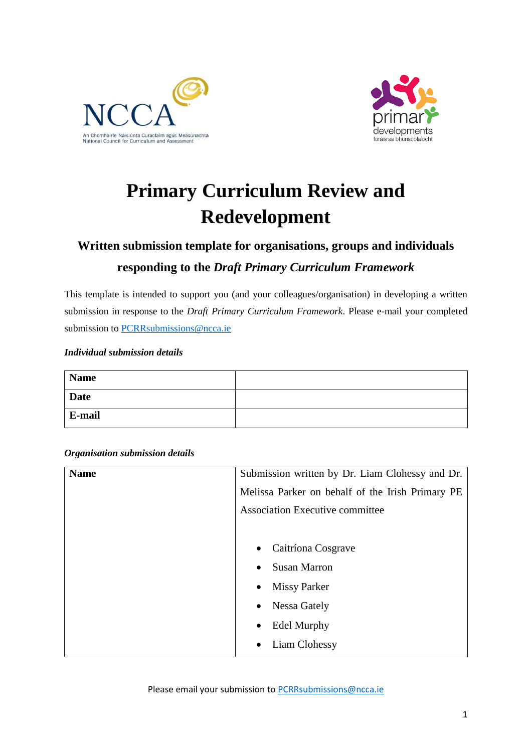



# **Primary Curriculum Review and Redevelopment**

# **Written submission template for organisations, groups and individuals responding to the** *Draft Primary Curriculum Framework*

This template is intended to support you (and your colleagues/organisation) in developing a written submission in response to the *Draft Primary Curriculum Framework*. Please e-mail your completed submission to [PCRRsubmissions@ncca.ie](mailto:PCRRsubmissions@ncca.ie)

#### *Individual submission details*

| <b>Name</b> |  |
|-------------|--|
| <b>Date</b> |  |
| E-mail      |  |

#### *Organisation submission details*

| <b>Name</b> | Submission written by Dr. Liam Clohessy and Dr.  |
|-------------|--------------------------------------------------|
|             | Melissa Parker on behalf of the Irish Primary PE |
|             | <b>Association Executive committee</b>           |
|             |                                                  |
|             | Caitríona Cosgrave<br>$\bullet$                  |
|             | <b>Susan Marron</b><br>$\bullet$                 |
|             | <b>Missy Parker</b><br>$\bullet$                 |
|             | Nessa Gately<br>$\bullet$                        |
|             | <b>Edel Murphy</b><br>$\bullet$                  |
|             | Liam Clohessy                                    |
|             |                                                  |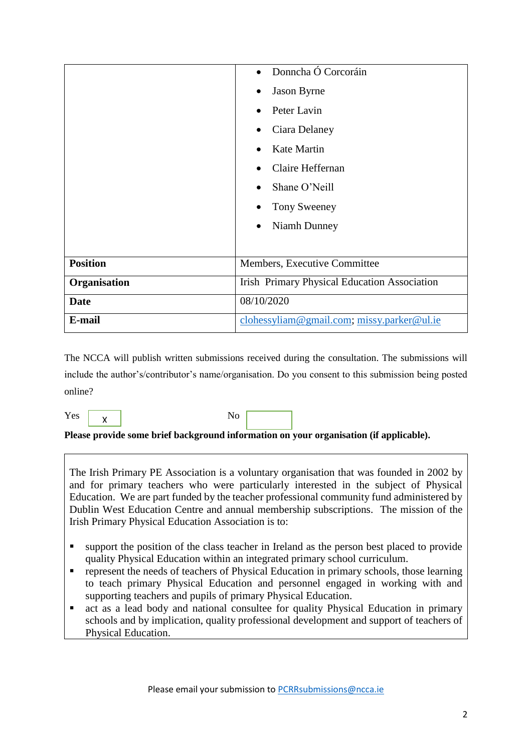|                 | Donncha Ó Corcoráin<br>$\bullet$                    |
|-----------------|-----------------------------------------------------|
|                 | <b>Jason Byrne</b>                                  |
|                 | Peter Lavin                                         |
|                 | Ciara Delaney                                       |
|                 | Kate Martin                                         |
|                 | Claire Heffernan                                    |
|                 | Shane O'Neill                                       |
|                 | Tony Sweeney                                        |
|                 | Niamh Dunney                                        |
|                 |                                                     |
| <b>Position</b> | Members, Executive Committee                        |
| Organisation    | <b>Irish Primary Physical Education Association</b> |
| <b>Date</b>     | 08/10/2020                                          |
| E-mail          | clohessyliam@gmail.com; missy.parker@ul.ie          |

The NCCA will publish written submissions received during the consultation. The submissions will include the author's/contributor's name/organisation. Do you consent to this submission being posted online?

 $Yes \mid y \mid$  No X

**Please provide some brief background information on your organisation (if applicable).** 

The Irish Primary PE Association is a voluntary organisation that was founded in 2002 by and for primary teachers who were particularly interested in the subject of Physical Education. We are part funded by the teacher professional community fund administered by Dublin West Education Centre and annual membership subscriptions. The mission of the Irish Primary Physical Education Association is to:

- support the position of the class teacher in Ireland as the person best placed to provide quality Physical Education within an integrated primary school curriculum.
- **represent the needs of teachers of Physical Education in primary schools, those learning** to teach primary Physical Education and personnel engaged in working with and supporting teachers and pupils of primary Physical Education.
- act as a lead body and national consultee for quality Physical Education in primary schools and by implication, quality professional development and support of teachers of Physical Education.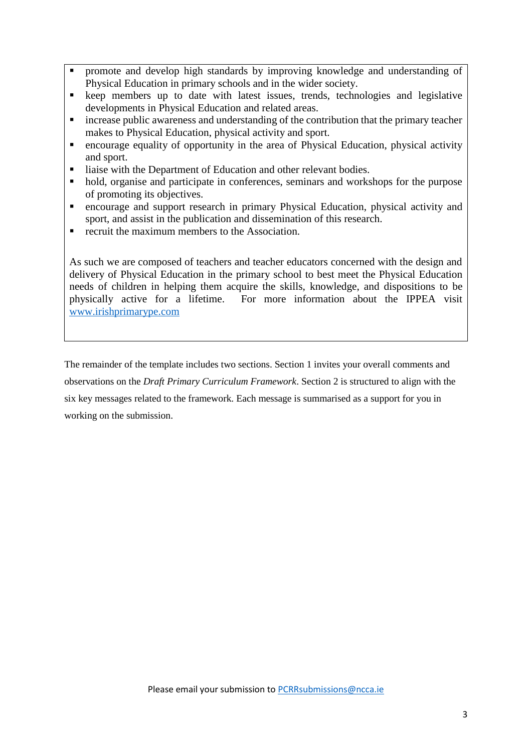- promote and develop high standards by improving knowledge and understanding of Physical Education in primary schools and in the wider society.
- keep members up to date with latest issues, trends, technologies and legislative developments in Physical Education and related areas.
- increase public awareness and understanding of the contribution that the primary teacher makes to Physical Education, physical activity and sport.
- encourage equality of opportunity in the area of Physical Education, physical activity and sport.
- liaise with the Department of Education and other relevant bodies.
- hold, organise and participate in conferences, seminars and workshops for the purpose of promoting its objectives.
- encourage and support research in primary Physical Education, physical activity and sport, and assist in the publication and dissemination of this research.
- recruit the maximum members to the Association.

As such we are composed of teachers and teacher educators concerned with the design and delivery of Physical Education in the primary school to best meet the Physical Education needs of children in helping them acquire the skills, knowledge, and dispositions to be physically active for a lifetime. For more information about the IPPEA visit [www.irishprimarype.com](http://www.irishprimarype.com/)

The remainder of the template includes two sections. Section 1 invites your overall comments and observations on the *Draft Primary Curriculum Framework*. Section 2 is structured to align with the six key messages related to the framework. Each message is summarised as a support for you in working on the submission.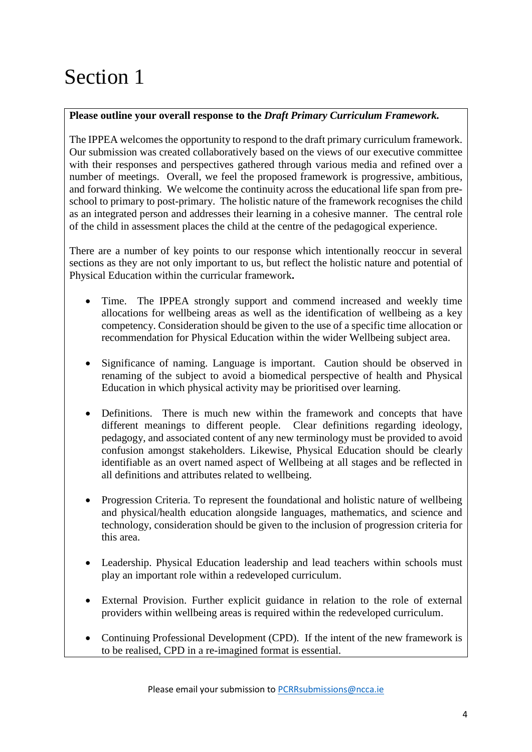# Section 1

# **Please outline your overall response to the** *Draft Primary Curriculum Framework.*

The IPPEA welcomes the opportunity to respond to the draft primary curriculum framework. Our submission was created collaboratively based on the views of our executive committee with their responses and perspectives gathered through various media and refined over a number of meetings. Overall, we feel the proposed framework is progressive, ambitious, and forward thinking. We welcome the continuity across the educational life span from preschool to primary to post-primary. The holistic nature of the framework recognises the child as an integrated person and addresses their learning in a cohesive manner. The central role of the child in assessment places the child at the centre of the pedagogical experience.

There are a number of key points to our response which intentionally reoccur in several sections as they are not only important to us, but reflect the holistic nature and potential of Physical Education within the curricular framework**.** 

- Time. The IPPEA strongly support and commend increased and weekly time allocations for wellbeing areas as well as the identification of wellbeing as a key competency. Consideration should be given to the use of a specific time allocation or recommendation for Physical Education within the wider Wellbeing subject area.
- Significance of naming. Language is important. Caution should be observed in renaming of the subject to avoid a biomedical perspective of health and Physical Education in which physical activity may be prioritised over learning.
- Definitions. There is much new within the framework and concepts that have different meanings to different people. Clear definitions regarding ideology, pedagogy, and associated content of any new terminology must be provided to avoid confusion amongst stakeholders. Likewise, Physical Education should be clearly identifiable as an overt named aspect of Wellbeing at all stages and be reflected in all definitions and attributes related to wellbeing.
- Progression Criteria. To represent the foundational and holistic nature of wellbeing and physical/health education alongside languages, mathematics, and science and technology, consideration should be given to the inclusion of progression criteria for this area.
- Leadership. Physical Education leadership and lead teachers within schools must play an important role within a redeveloped curriculum.
- External Provision. Further explicit guidance in relation to the role of external providers within wellbeing areas is required within the redeveloped curriculum.
- Continuing Professional Development (CPD). If the intent of the new framework is to be realised, CPD in a re-imagined format is essential.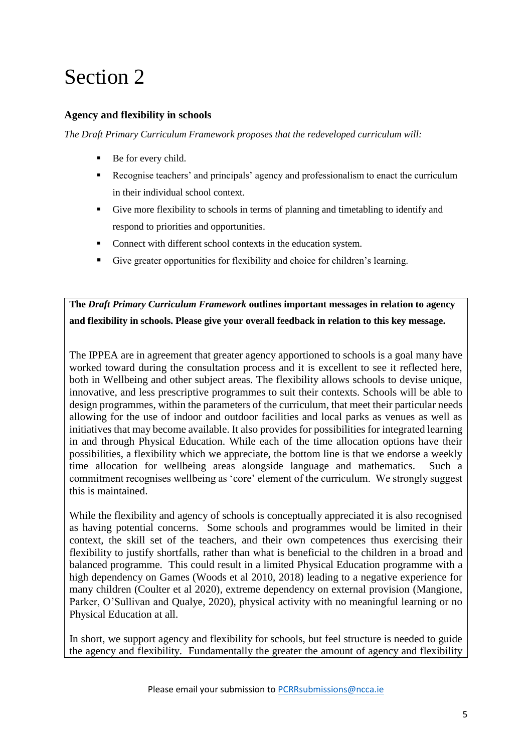# Section 2

### **Agency and flexibility in schools**

*The Draft Primary Curriculum Framework proposes that the redeveloped curriculum will:*

- Be for every child.
- Recognise teachers' and principals' agency and professionalism to enact the curriculum in their individual school context.
- Give more flexibility to schools in terms of planning and timetabling to identify and respond to priorities and opportunities.
- Connect with different school contexts in the education system.
- Give greater opportunities for flexibility and choice for children's learning.

**The** *Draft Primary Curriculum Framework* **outlines important messages in relation to agency and flexibility in schools. Please give your overall feedback in relation to this key message.** 

The IPPEA are in agreement that greater agency apportioned to schools is a goal many have worked toward during the consultation process and it is excellent to see it reflected here, both in Wellbeing and other subject areas. The flexibility allows schools to devise unique, innovative, and less prescriptive programmes to suit their contexts. Schools will be able to design programmes, within the parameters of the curriculum, that meet their particular needs allowing for the use of indoor and outdoor facilities and local parks as venues as well as initiatives that may become available. It also provides for possibilities for integrated learning in and through Physical Education. While each of the time allocation options have their possibilities, a flexibility which we appreciate, the bottom line is that we endorse a weekly time allocation for wellbeing areas alongside language and mathematics. Such a commitment recognises wellbeing as 'core' element of the curriculum. We strongly suggest this is maintained.

While the flexibility and agency of schools is conceptually appreciated it is also recognised as having potential concerns. Some schools and programmes would be limited in their context, the skill set of the teachers, and their own competences thus exercising their flexibility to justify shortfalls, rather than what is beneficial to the children in a broad and balanced programme. This could result in a limited Physical Education programme with a high dependency on Games (Woods et al 2010, 2018) leading to a negative experience for many children (Coulter et al 2020), extreme dependency on external provision (Mangione, Parker, O'Sullivan and Qualye, 2020), physical activity with no meaningful learning or no Physical Education at all.

In short, we support agency and flexibility for schools, but feel structure is needed to guide the agency and flexibility. Fundamentally the greater the amount of agency and flexibility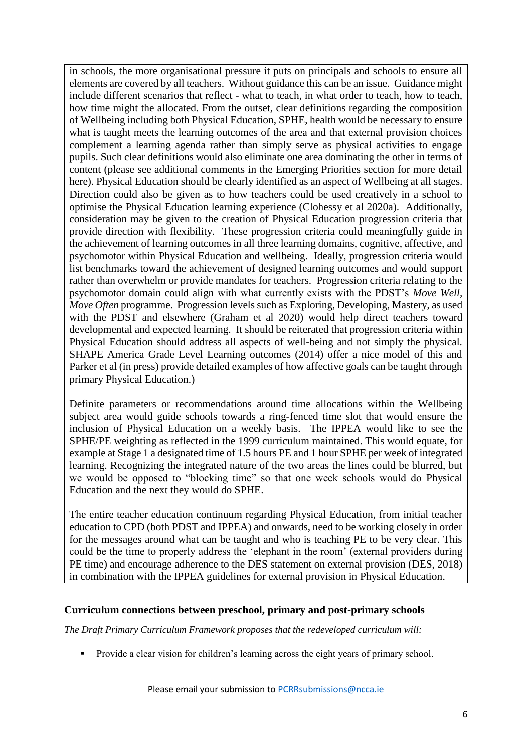in schools, the more organisational pressure it puts on principals and schools to ensure all elements are covered by all teachers. Without guidance this can be an issue. Guidance might include different scenarios that reflect - what to teach, in what order to teach, how to teach, how time might the allocated. From the outset, clear definitions regarding the composition of Wellbeing including both Physical Education, SPHE, health would be necessary to ensure what is taught meets the learning outcomes of the area and that external provision choices complement a learning agenda rather than simply serve as physical activities to engage pupils. Such clear definitions would also eliminate one area dominating the other in terms of content (please see additional comments in the Emerging Priorities section for more detail here). Physical Education should be clearly identified as an aspect of Wellbeing at all stages. Direction could also be given as to how teachers could be used creatively in a school to optimise the Physical Education learning experience (Clohessy et al 2020a). Additionally, consideration may be given to the creation of Physical Education progression criteria that provide direction with flexibility. These progression criteria could meaningfully guide in the achievement of learning outcomes in all three learning domains, cognitive, affective, and psychomotor within Physical Education and wellbeing. Ideally, progression criteria would list benchmarks toward the achievement of designed learning outcomes and would support rather than overwhelm or provide mandates for teachers. Progression criteria relating to the psychomotor domain could align with what currently exists with the PDST's *Move Well, Move Often* programme. Progression levels such as Exploring, Developing, Mastery, as used with the PDST and elsewhere (Graham et al 2020) would help direct teachers toward developmental and expected learning. It should be reiterated that progression criteria within Physical Education should address all aspects of well-being and not simply the physical. SHAPE America Grade Level Learning outcomes (2014) offer a nice model of this and Parker et al (in press) provide detailed examples of how affective goals can be taught through primary Physical Education.)

Definite parameters or recommendations around time allocations within the Wellbeing subject area would guide schools towards a ring-fenced time slot that would ensure the inclusion of Physical Education on a weekly basis. The IPPEA would like to see the SPHE/PE weighting as reflected in the 1999 curriculum maintained. This would equate, for example at Stage 1 a designated time of 1.5 hours PE and 1 hour SPHE per week of integrated learning. Recognizing the integrated nature of the two areas the lines could be blurred, but we would be opposed to "blocking time" so that one week schools would do Physical Education and the next they would do SPHE.

The entire teacher education continuum regarding Physical Education, from initial teacher education to CPD (both PDST and IPPEA) and onwards, need to be working closely in order for the messages around what can be taught and who is teaching PE to be very clear. This could be the time to properly address the 'elephant in the room' (external providers during PE time) and encourage adherence to the DES statement on external provision (DES, 2018) in combination with the IPPEA guidelines for external provision in Physical Education.

#### **Curriculum connections between preschool, primary and post-primary schools**

*The Draft Primary Curriculum Framework proposes that the redeveloped curriculum will:*

Provide a clear vision for children's learning across the eight years of primary school.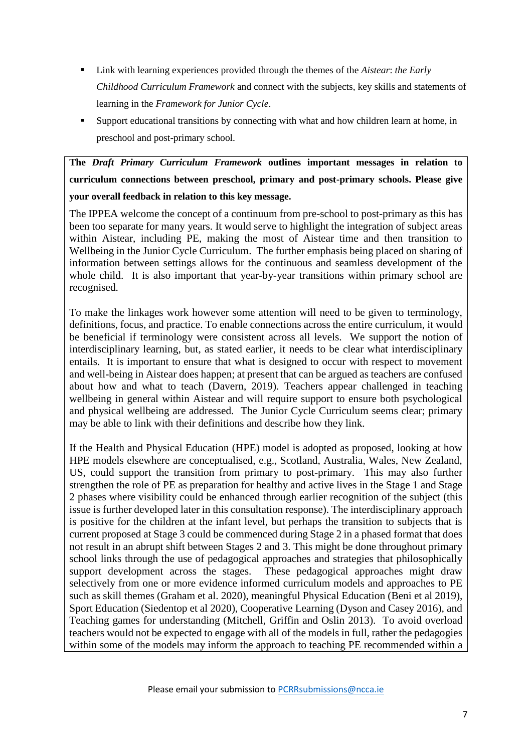- Link with learning experiences provided through the themes of the *Aistear*: *the Early Childhood Curriculum Framework* and connect with the subjects, key skills and statements of learning in the *Framework for Junior Cycle*.
- Support educational transitions by connecting with what and how children learn at home, in preschool and post-primary school.

**The** *Draft Primary Curriculum Framework* **outlines important messages in relation to curriculum connections between preschool, primary and post-primary schools. Please give your overall feedback in relation to this key message.** 

The IPPEA welcome the concept of a continuum from pre-school to post-primary as this has been too separate for many years. It would serve to highlight the integration of subject areas within Aistear, including PE, making the most of Aistear time and then transition to Wellbeing in the Junior Cycle Curriculum. The further emphasis being placed on sharing of information between settings allows for the continuous and seamless development of the whole child. It is also important that year-by-year transitions within primary school are recognised.

To make the linkages work however some attention will need to be given to terminology, definitions, focus, and practice. To enable connections across the entire curriculum, it would be beneficial if terminology were consistent across all levels. We support the notion of interdisciplinary learning, but, as stated earlier, it needs to be clear what interdisciplinary entails. It is important to ensure that what is designed to occur with respect to movement and well-being in Aistear does happen; at present that can be argued as teachers are confused about how and what to teach (Davern, 2019). Teachers appear challenged in teaching wellbeing in general within Aistear and will require support to ensure both psychological and physical wellbeing are addressed. The Junior Cycle Curriculum seems clear; primary may be able to link with their definitions and describe how they link.

If the Health and Physical Education (HPE) model is adopted as proposed, looking at how HPE models elsewhere are conceptualised, e.g., Scotland, Australia, Wales, New Zealand, US, could support the transition from primary to post-primary. This may also further strengthen the role of PE as preparation for healthy and active lives in the Stage 1 and Stage 2 phases where visibility could be enhanced through earlier recognition of the subject (this issue is further developed later in this consultation response). The interdisciplinary approach is positive for the children at the infant level, but perhaps the transition to subjects that is current proposed at Stage 3 could be commenced during Stage 2 in a phased format that does not result in an abrupt shift between Stages 2 and 3. This might be done throughout primary school links through the use of pedagogical approaches and strategies that philosophically support development across the stages. These pedagogical approaches might draw selectively from one or more evidence informed curriculum models and approaches to PE such as skill themes (Graham et al. 2020), meaningful Physical Education (Beni et al 2019), Sport Education (Siedentop et al 2020), Cooperative Learning (Dyson and Casey 2016), and Teaching games for understanding (Mitchell, Griffin and Oslin 2013). To avoid overload teachers would not be expected to engage with all of the models in full, rather the pedagogies within some of the models may inform the approach to teaching PE recommended within a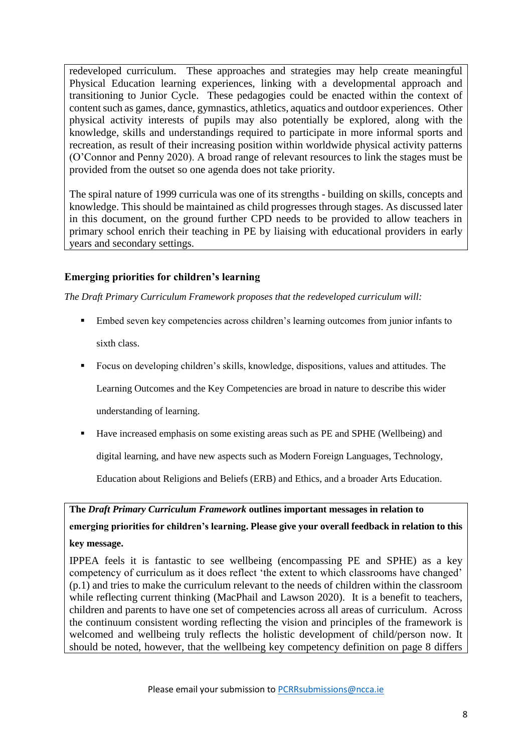redeveloped curriculum. These approaches and strategies may help create meaningful Physical Education learning experiences, linking with a developmental approach and transitioning to Junior Cycle. These pedagogies could be enacted within the context of content such as games, dance, gymnastics, athletics, aquatics and outdoor experiences. Other physical activity interests of pupils may also potentially be explored, along with the knowledge, skills and understandings required to participate in more informal sports and recreation, as result of their increasing position within worldwide physical activity patterns (O'Connor and Penny 2020). A broad range of relevant resources to link the stages must be provided from the outset so one agenda does not take priority.

The spiral nature of 1999 curricula was one of its strengths - building on skills, concepts and knowledge. This should be maintained as child progresses through stages. As discussed later in this document, on the ground further CPD needs to be provided to allow teachers in primary school enrich their teaching in PE by liaising with educational providers in early years and secondary settings.

# **Emerging priorities for children's learning**

*The Draft Primary Curriculum Framework proposes that the redeveloped curriculum will:*

- Embed seven key competencies across children's learning outcomes from junior infants to sixth class.
- Focus on developing children's skills, knowledge, dispositions, values and attitudes. The Learning Outcomes and the Key Competencies are broad in nature to describe this wider understanding of learning.
- Have increased emphasis on some existing areas such as PE and SPHE (Wellbeing) and

digital learning, and have new aspects such as Modern Foreign Languages, Technology,

Education about Religions and Beliefs (ERB) and Ethics, and a broader Arts Education.

**The** *Draft Primary Curriculum Framework* **outlines important messages in relation to emerging priorities for children's learning. Please give your overall feedback in relation to this key message.** 

IPPEA feels it is fantastic to see wellbeing (encompassing PE and SPHE) as a key competency of curriculum as it does reflect 'the extent to which classrooms have changed' (p.1) and tries to make the curriculum relevant to the needs of children within the classroom while reflecting current thinking (MacPhail and Lawson 2020). It is a benefit to teachers, children and parents to have one set of competencies across all areas of curriculum. Across the continuum consistent wording reflecting the vision and principles of the framework is welcomed and wellbeing truly reflects the holistic development of child/person now. It should be noted, however, that the wellbeing key competency definition on page 8 differs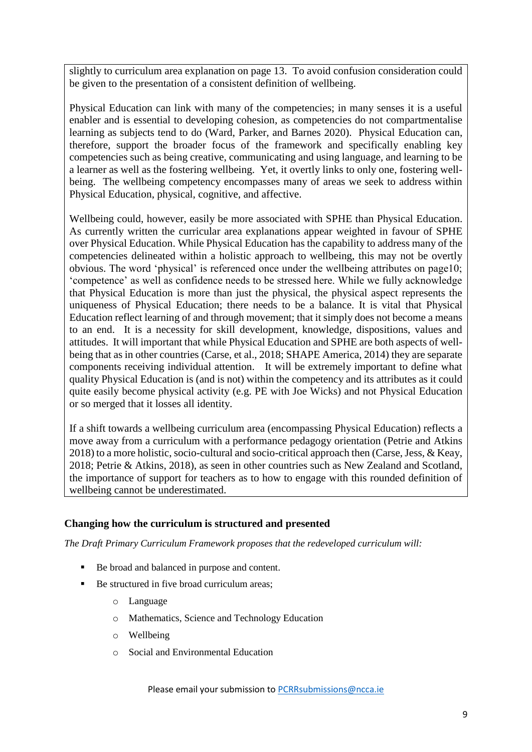slightly to curriculum area explanation on page 13. To avoid confusion consideration could be given to the presentation of a consistent definition of wellbeing.

Physical Education can link with many of the competencies; in many senses it is a useful enabler and is essential to developing cohesion, as competencies do not compartmentalise learning as subjects tend to do (Ward, Parker, and Barnes 2020). Physical Education can, therefore, support the broader focus of the framework and specifically enabling key competencies such as being creative, communicating and using language, and learning to be a learner as well as the fostering wellbeing. Yet, it overtly links to only one, fostering wellbeing. The wellbeing competency encompasses many of areas we seek to address within Physical Education, physical, cognitive, and affective.

Wellbeing could, however, easily be more associated with SPHE than Physical Education. As currently written the curricular area explanations appear weighted in favour of SPHE over Physical Education. While Physical Education has the capability to address many of the competencies delineated within a holistic approach to wellbeing, this may not be overtly obvious. The word 'physical' is referenced once under the wellbeing attributes on page10; 'competence' as well as confidence needs to be stressed here. While we fully acknowledge that Physical Education is more than just the physical, the physical aspect represents the uniqueness of Physical Education; there needs to be a balance. It is vital that Physical Education reflect learning of and through movement; that it simply does not become a means to an end. It is a necessity for skill development, knowledge, dispositions, values and attitudes. It will important that while Physical Education and SPHE are both aspects of wellbeing that as in other countries (Carse, et al., 2018; SHAPE America, 2014) they are separate components receiving individual attention. It will be extremely important to define what quality Physical Education is (and is not) within the competency and its attributes as it could quite easily become physical activity (e.g. PE with Joe Wicks) and not Physical Education or so merged that it losses all identity.

If a shift towards a wellbeing curriculum area (encompassing Physical Education) reflects a move away from a curriculum with a performance pedagogy orientation (Petrie and Atkins 2018) to a more holistic, socio-cultural and socio-critical approach then (Carse, Jess, & Keay, 2018; Petrie & Atkins, 2018), as seen in other countries such as New Zealand and Scotland, the importance of support for teachers as to how to engage with this rounded definition of wellbeing cannot be underestimated.

### **Changing how the curriculum is structured and presented**

*The Draft Primary Curriculum Framework proposes that the redeveloped curriculum will:*

- Be broad and balanced in purpose and content.
- Be structured in five broad curriculum areas;
	- o Language
	- o Mathematics, Science and Technology Education
	- o Wellbeing
	- o Social and Environmental Education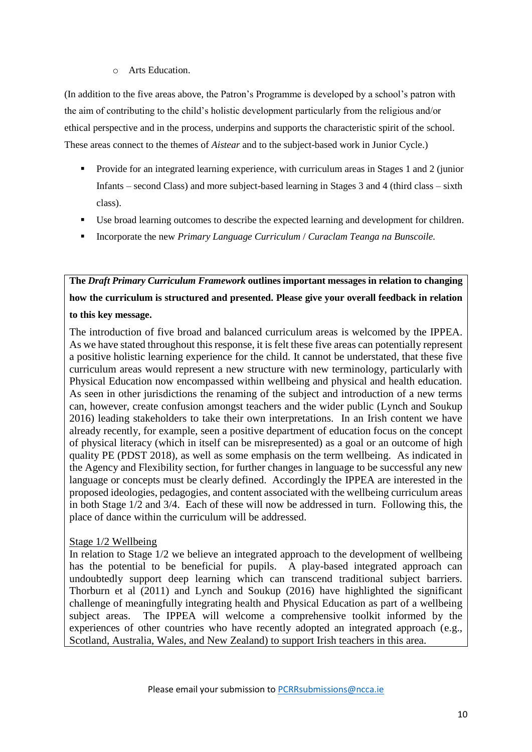#### o Arts Education.

(In addition to the five areas above, the Patron's Programme is developed by a school's patron with the aim of contributing to the child's holistic development particularly from the religious and/or ethical perspective and in the process, underpins and supports the characteristic spirit of the school. These areas connect to the themes of *Aistear* and to the subject-based work in Junior Cycle.)

- **Provide for an integrated learning experience, with curriculum areas in Stages 1 and 2 (junior** Infants – second Class) and more subject-based learning in Stages 3 and 4 (third class – sixth class).
- Use broad learning outcomes to describe the expected learning and development for children.
- Incorporate the new *Primary Language Curriculum* / *Curaclam Teanga na Bunscoile.*

**The** *Draft Primary Curriculum Framework* **outlines important messages in relation to changing how the curriculum is structured and presented. Please give your overall feedback in relation to this key message.**

The introduction of five broad and balanced curriculum areas is welcomed by the IPPEA. As we have stated throughout this response, it is felt these five areas can potentially represent a positive holistic learning experience for the child. It cannot be understated, that these five curriculum areas would represent a new structure with new terminology, particularly with Physical Education now encompassed within wellbeing and physical and health education. As seen in other jurisdictions the renaming of the subject and introduction of a new terms can, however, create confusion amongst teachers and the wider public (Lynch and Soukup 2016) leading stakeholders to take their own interpretations. In an Irish content we have already recently, for example, seen a positive department of education focus on the concept of physical literacy (which in itself can be misrepresented) as a goal or an outcome of high quality PE (PDST 2018), as well as some emphasis on the term wellbeing. As indicated in the Agency and Flexibility section, for further changes in language to be successful any new language or concepts must be clearly defined. Accordingly the IPPEA are interested in the proposed ideologies, pedagogies, and content associated with the wellbeing curriculum areas in both Stage 1/2 and 3/4. Each of these will now be addressed in turn. Following this, the place of dance within the curriculum will be addressed.

### Stage 1/2 Wellbeing

In relation to Stage 1/2 we believe an integrated approach to the development of wellbeing has the potential to be beneficial for pupils. A play-based integrated approach can undoubtedly support deep learning which can transcend traditional subject barriers. Thorburn et al (2011) and Lynch and Soukup (2016) have highlighted the significant challenge of meaningfully integrating health and Physical Education as part of a wellbeing subject areas. The IPPEA will welcome a comprehensive toolkit informed by the experiences of other countries who have recently adopted an integrated approach (e.g., Scotland, Australia, Wales, and New Zealand) to support Irish teachers in this area.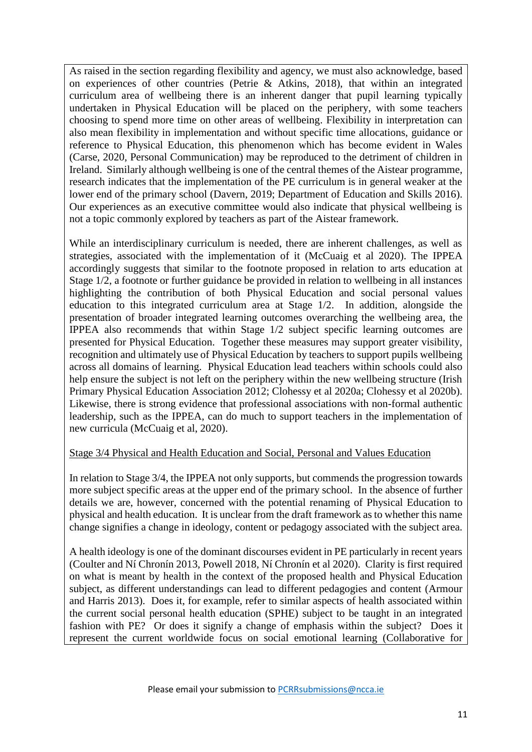As raised in the section regarding flexibility and agency, we must also acknowledge, based on experiences of other countries (Petrie & Atkins, 2018), that within an integrated curriculum area of wellbeing there is an inherent danger that pupil learning typically undertaken in Physical Education will be placed on the periphery, with some teachers choosing to spend more time on other areas of wellbeing. Flexibility in interpretation can also mean flexibility in implementation and without specific time allocations, guidance or reference to Physical Education, this phenomenon which has become evident in Wales (Carse, 2020, Personal Communication) may be reproduced to the detriment of children in Ireland. Similarly although wellbeing is one of the central themes of the Aistear programme, research indicates that the implementation of the PE curriculum is in general weaker at the lower end of the primary school (Davern, 2019; Department of [Education and Skills 2016\)](#page-16-0). Our experiences as an executive committee would also indicate that physical wellbeing is not a topic commonly explored by teachers as part of the Aistear framework.

While an interdisciplinary curriculum is needed, there are inherent challenges, as well as strategies, associated with the implementation of it (McCuaig et al 2020). The IPPEA accordingly suggests that similar to the footnote proposed in relation to arts education at Stage 1/2, a footnote or further guidance be provided in relation to wellbeing in all instances highlighting the contribution of both Physical Education and social personal values education to this integrated curriculum area at Stage 1/2. In addition, alongside the presentation of broader integrated learning outcomes overarching the wellbeing area, the IPPEA also recommends that within Stage 1/2 subject specific learning outcomes are presented for Physical Education. Together these measures may support greater visibility, recognition and ultimately use of Physical Education by teachers to support pupils wellbeing across all domains of learning. Physical Education lead teachers within schools could also help ensure the subject is not left on the periphery within the new wellbeing structure (Irish Primary Physical Education Association 2012; Clohessy et al 2020a; Clohessy et al 2020b). Likewise, there is strong evidence that professional associations with non-formal authentic leadership, such as the IPPEA, can do much to support teachers in the implementation of new curricula (McCuaig et al, 2020).

### Stage 3/4 Physical and Health Education and Social, Personal and Values Education

In relation to Stage 3/4, the IPPEA not only supports, but commends the progression towards more subject specific areas at the upper end of the primary school. In the absence of further details we are, however, concerned with the potential renaming of Physical Education to physical and health education. It is unclear from the draft framework as to whether this name change signifies a change in ideology, content or pedagogy associated with the subject area.

A health ideology is one of the dominant discourses evident in PE particularly in recent years (Coulter and Ní Chronín 2013, Powell 2018, Ní Chronín et al 2020). Clarity is first required on what is meant by health in the context of the proposed health and Physical Education subject, as different understandings can lead to different pedagogies and content (Armour and Harris 2013). Does it, for example, refer to similar aspects of health associated within the current social personal health education (SPHE) subject to be taught in an integrated fashion with PE? Or does it signify a change of emphasis within the subject? Does it represent the current worldwide focus on social emotional learning (Collaborative for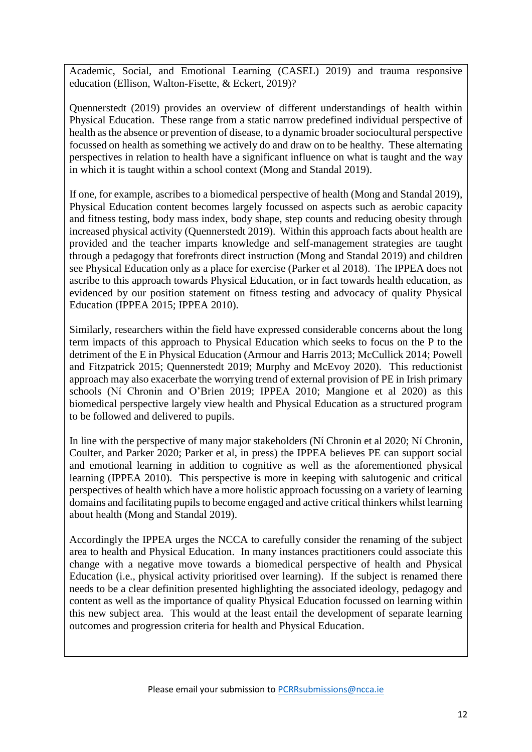Academic, Social, and Emotional Learning (CASEL) 2019) and trauma responsive education (Ellison, Walton-Fisette, & Eckert, 2019)?

Quennerstedt (2019) provides an overview of different understandings of health within Physical Education. These range from a static narrow predefined individual perspective of health as the absence or prevention of disease, to a dynamic broader sociocultural perspective focussed on health as something we actively do and draw on to be healthy. These alternating perspectives in relation to health have a significant influence on what is taught and the way in which it is taught within a school context (Mong and Standal 2019).

If one, for example, ascribes to a biomedical perspective of health (Mong and Standal 2019), Physical Education content becomes largely focussed on aspects such as aerobic capacity and fitness testing, body mass index, body shape, step counts and reducing obesity through increased physical activity (Quennerstedt 2019). Within this approach facts about health are provided and the teacher imparts knowledge and self-management strategies are taught through a pedagogy that forefronts direct instruction (Mong and Standal 2019) and children see Physical Education only as a place for exercise (Parker et al 2018). The IPPEA does not ascribe to this approach towards Physical Education, or in fact towards health education, as evidenced by our position statement on fitness testing and advocacy of quality Physical Education (IPPEA 2015; IPPEA 2010).

Similarly, researchers within the field have expressed considerable concerns about the long term impacts of this approach to Physical Education which seeks to focus on the P to the detriment of the E in Physical Education (Armour and Harris 2013; McCullick 2014; Powell and Fitzpatrick 2015; Quennerstedt 2019; Murphy and McEvoy 2020). This reductionist approach may also exacerbate the worrying trend of external provision of PE in Irish primary schools (Ní Chronin and O'Brien 2019; IPPEA 2010; Mangione et al 2020) as this biomedical perspective largely view health and Physical Education as a structured program to be followed and delivered to pupils.

In line with the perspective of many major stakeholders (Ní Chronin et al 2020; Ní Chronin, Coulter, and Parker 2020; Parker et al, in press) the IPPEA believes PE can support social and emotional learning in addition to cognitive as well as the aforementioned physical learning (IPPEA 2010). This perspective is more in keeping with salutogenic and critical perspectives of health which have a more holistic approach focussing on a variety of learning domains and facilitating pupils to become engaged and active critical thinkers whilst learning about health (Mong and Standal 2019).

Accordingly the IPPEA urges the NCCA to carefully consider the renaming of the subject area to health and Physical Education. In many instances practitioners could associate this change with a negative move towards a biomedical perspective of health and Physical Education (i.e., physical activity prioritised over learning). If the subject is renamed there needs to be a clear definition presented highlighting the associated ideology, pedagogy and content as well as the importance of quality Physical Education focussed on learning within this new subject area. This would at the least entail the development of separate learning outcomes and progression criteria for health and Physical Education.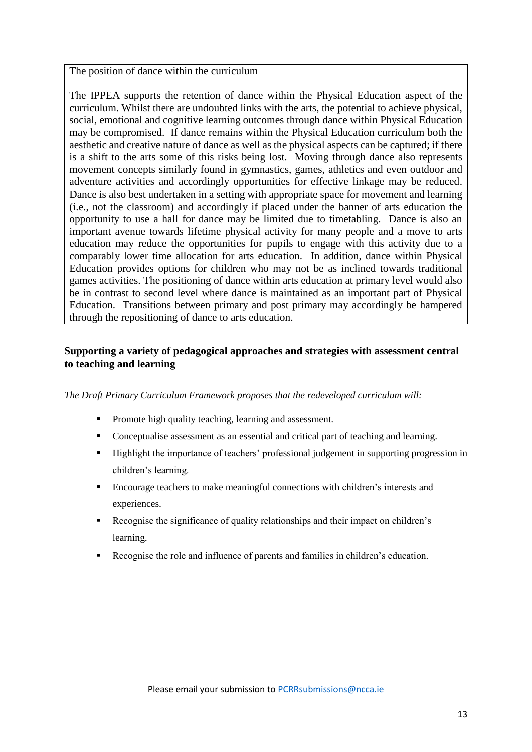#### The position of dance within the curriculum

The IPPEA supports the retention of dance within the Physical Education aspect of the curriculum. Whilst there are undoubted links with the arts, the potential to achieve physical, social, emotional and cognitive learning outcomes through dance within Physical Education may be compromised. If dance remains within the Physical Education curriculum both the aesthetic and creative nature of dance as well as the physical aspects can be captured; if there is a shift to the arts some of this risks being lost. Moving through dance also represents movement concepts similarly found in gymnastics, games, athletics and even outdoor and adventure activities and accordingly opportunities for effective linkage may be reduced. Dance is also best undertaken in a setting with appropriate space for movement and learning (i.e., not the classroom) and accordingly if placed under the banner of arts education the opportunity to use a hall for dance may be limited due to timetabling. Dance is also an important avenue towards lifetime physical activity for many people and a move to arts education may reduce the opportunities for pupils to engage with this activity due to a comparably lower time allocation for arts education. In addition, dance within Physical Education provides options for children who may not be as inclined towards traditional games activities. The positioning of dance within arts education at primary level would also be in contrast to second level where dance is maintained as an important part of Physical Education. Transitions between primary and post primary may accordingly be hampered through the repositioning of dance to arts education.

# **Supporting a variety of pedagogical approaches and strategies with assessment central to teaching and learning**

#### *The Draft Primary Curriculum Framework proposes that the redeveloped curriculum will:*

- Promote high quality teaching, learning and assessment.
- Conceptualise assessment as an essential and critical part of teaching and learning.
- Highlight the importance of teachers' professional judgement in supporting progression in children's learning.
- Encourage teachers to make meaningful connections with children's interests and experiences.
- Recognise the significance of quality relationships and their impact on children's learning.
- Recognise the role and influence of parents and families in children's education.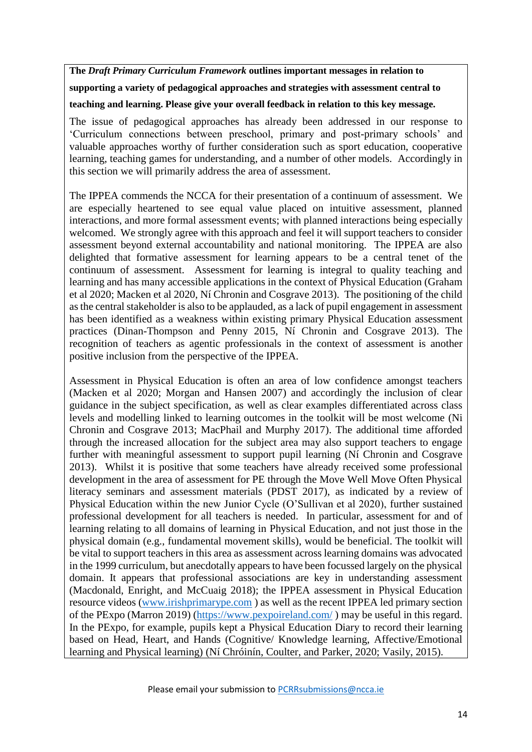**The** *Draft Primary Curriculum Framework* **outlines important messages in relation to**

**supporting a variety of pedagogical approaches and strategies with assessment central to** 

**teaching and learning. Please give your overall feedback in relation to this key message.** 

The issue of pedagogical approaches has already been addressed in our response to 'Curriculum connections between preschool, primary and post-primary schools' and valuable approaches worthy of further consideration such as sport education, cooperative learning, teaching games for understanding, and a number of other models. Accordingly in this section we will primarily address the area of assessment.

The IPPEA commends the NCCA for their presentation of a continuum of assessment. We are especially heartened to see equal value placed on intuitive assessment, planned interactions, and more formal assessment events; with planned interactions being especially welcomed. We strongly agree with this approach and feel it will support teachers to consider assessment beyond external accountability and national monitoring. The IPPEA are also delighted that formative assessment for learning appears to be a central tenet of the continuum of assessment. Assessment for learning is integral to quality teaching and learning and has many accessible applications in the context of Physical Education (Graham et al 2020; Macken et al 2020, Ní Chronin and Cosgrave 2013). The positioning of the child as the central stakeholder is also to be applauded, as a lack of pupil engagement in assessment has been identified as a weakness within existing primary Physical Education assessment practices (Dinan-Thompson and Penny 2015, Ní Chronin and Cosgrave 2013). The recognition of teachers as agentic professionals in the context of assessment is another positive inclusion from the perspective of the IPPEA.

Assessment in Physical Education is often an area of low confidence amongst teachers (Macken et al 2020; Morgan and Hansen 2007) and accordingly the inclusion of clear guidance in the subject specification, as well as clear examples differentiated across class levels and modelling linked to learning outcomes in the toolkit will be most welcome (Ni Chronin and Cosgrave 2013; MacPhail and Murphy 2017). The additional time afforded through the increased allocation for the subject area may also support teachers to engage further with meaningful assessment to support pupil learning (Ní Chronin and Cosgrave 2013). Whilst it is positive that some teachers have already received some professional development in the area of assessment for PE through the Move Well Move Often Physical literacy seminars and assessment materials (PDST 2017), as indicated by a review of Physical Education within the new Junior Cycle (O'Sullivan et al 2020), further sustained professional development for all teachers is needed. In particular, assessment for and of learning relating to all domains of learning in Physical Education, and not just those in the physical domain (e.g., fundamental movement skills), would be beneficial. The toolkit will be vital to support teachers in this area as assessment across learning domains was advocated in the 1999 curriculum, but anecdotally appears to have been focussed largely on the physical domain. It appears that professional associations are key in understanding assessment (Macdonald, Enright, and McCuaig 2018); the IPPEA assessment in Physical Education resource videos [\(www.irishprimarype.com](http://www.irishprimarype.com/) ) as well as the recent IPPEA led primary section of the PExpo (Marron 2019) [\(https://www.pexpoireland.com/](https://www.pexpoireland.com/) ) may be useful in this regard. In the PExpo, for example, pupils kept a Physical Education Diary to record their learning based on Head, Heart, and Hands (Cognitive/ Knowledge learning, Affective/Emotional learning and Physical learning) (Ní Chróinín, Coulter, and Parker, 2020; Vasily, 2015).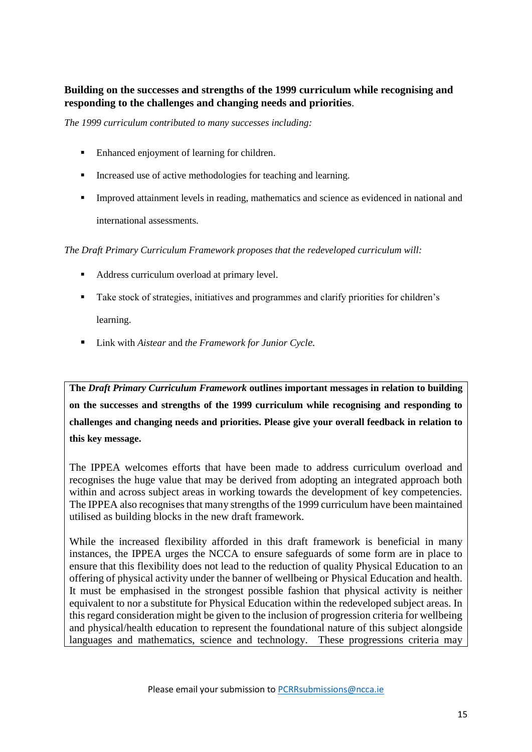# **Building on the successes and strengths of the 1999 curriculum while recognising and responding to the challenges and changing needs and priorities**.

*The 1999 curriculum contributed to many successes including:*

- Enhanced enjoyment of learning for children.
- Increased use of active methodologies for teaching and learning.
- Improved attainment levels in reading, mathematics and science as evidenced in national and international assessments.

*The Draft Primary Curriculum Framework proposes that the redeveloped curriculum will:*

- Address curriculum overload at primary level.
- Take stock of strategies, initiatives and programmes and clarify priorities for children's learning.
- Link with *Aistear* and *the Framework for Junior Cycle.*

**The** *Draft Primary Curriculum Framework* **outlines important messages in relation to building on the successes and strengths of the 1999 curriculum while recognising and responding to challenges and changing needs and priorities. Please give your overall feedback in relation to this key message.**

The IPPEA welcomes efforts that have been made to address curriculum overload and recognises the huge value that may be derived from adopting an integrated approach both within and across subject areas in working towards the development of key competencies. The IPPEA also recognises that many strengths of the 1999 curriculum have been maintained utilised as building blocks in the new draft framework.

While the increased flexibility afforded in this draft framework is beneficial in many instances, the IPPEA urges the NCCA to ensure safeguards of some form are in place to ensure that this flexibility does not lead to the reduction of quality Physical Education to an offering of physical activity under the banner of wellbeing or Physical Education and health. It must be emphasised in the strongest possible fashion that physical activity is neither equivalent to nor a substitute for Physical Education within the redeveloped subject areas. In this regard consideration might be given to the inclusion of progression criteria for wellbeing and physical/health education to represent the foundational nature of this subject alongside languages and mathematics, science and technology. These progressions criteria may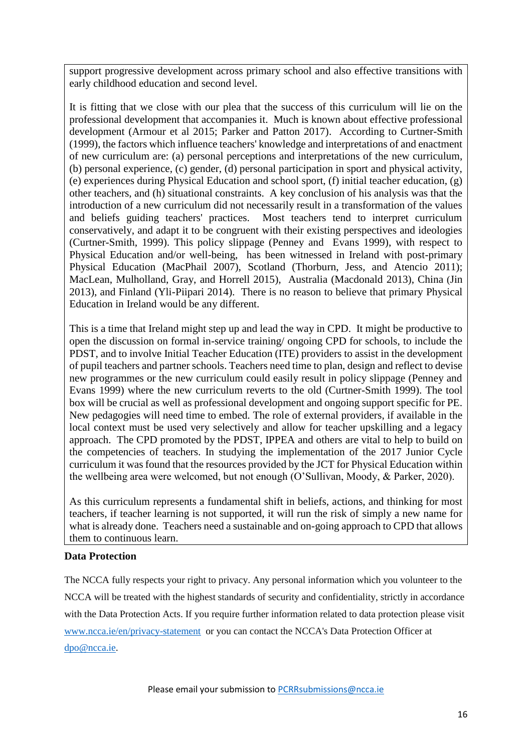support progressive development across primary school and also effective transitions with early childhood education and second level.

It is fitting that we close with our plea that the success of this curriculum will lie on the professional development that accompanies it. Much is known about effective professional development (Armour et al 2015; Parker and Patton 2017). According to Curtner-Smith (1999), the factors which influence teachers' knowledge and interpretations of and enactment of new curriculum are: (a) personal perceptions and interpretations of the new curriculum, (b) personal experience, (c) gender, (d) personal participation in sport and physical activity, (e) experiences during Physical Education and school sport, (f) initial teacher education, (g) other teachers, and (h) situational constraints. A key conclusion of his analysis was that the introduction of a new curriculum did not necessarily result in a transformation of the values and beliefs guiding teachers' practices. Most teachers tend to interpret curriculum conservatively, and adapt it to be congruent with their existing perspectives and ideologies (Curtner-Smith, 1999). This policy slippage (Penney and Evans 1999), with respect to Physical Education and/or well-being, has been witnessed in Ireland with post-primary Physical Education (MacPhail 2007), Scotland (Thorburn, Jess, and Atencio 2011); MacLean, Mulholland, Gray, and Horrell 2015), Australia (Macdonald 2013), China (Jin 2013), and Finland (Yli-Piipari 2014). There is no reason to believe that primary Physical Education in Ireland would be any different.

This is a time that Ireland might step up and lead the way in CPD. It might be productive to open the discussion on formal in-service training/ ongoing CPD for schools, to include the PDST, and to involve Initial Teacher Education (ITE) providers to assist in the development of pupil teachers and partner schools. Teachers need time to plan, design and reflect to devise new programmes or the new curriculum could easily result in policy slippage (Penney and Evans 1999) where the new curriculum reverts to the old (Curtner-Smith 1999). The tool box will be crucial as well as professional development and ongoing support specific for PE. New pedagogies will need time to embed. The role of external providers, if available in the local context must be used very selectively and allow for teacher upskilling and a legacy approach. The CPD promoted by the PDST, IPPEA and others are vital to help to build on the competencies of teachers. In studying the implementation of the 2017 Junior Cycle curriculum it was found that the resources provided by the JCT for Physical Education within the wellbeing area were welcomed, but not enough (O'Sullivan, Moody, & Parker, 2020).

As this curriculum represents a fundamental shift in beliefs, actions, and thinking for most teachers, if teacher learning is not supported, it will run the risk of simply a new name for what is already done. Teachers need a sustainable and on-going approach to CPD that allows them to continuous learn.

### **Data Protection**

The NCCA fully respects your right to privacy. Any personal information which you volunteer to the NCCA will be treated with the highest standards of security and confidentiality, strictly in accordance with the Data Protection Acts. If you require further information related to data protection please visit [www.ncca.ie/en/privacy-statement](http://www.ncca.ie/en/privacy-statement) or you can contact the NCCA's Data Protection Officer at [dpo@ncca.ie.](mailto:dpo@ncca.ie)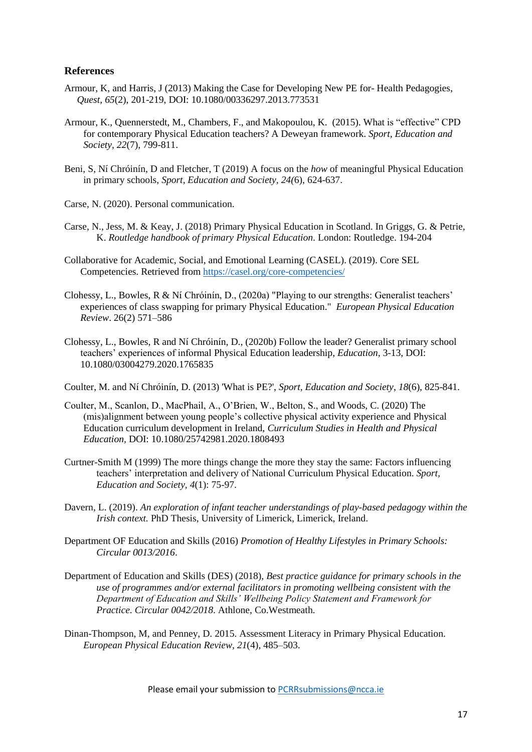#### **References**

- Armour, K, and Harris, J (2013) Making the Case for Developing New PE for- Health Pedagogies, *Quest, 65*(2), 201-219, DOI: 10.1080/00336297.2013.773531
- Armour, K., Quennerstedt, M., Chambers, F., and Makopoulou, K. (2015). What is "effective" CPD for contemporary Physical Education teachers? A Deweyan framework. *Sport, Education and Society, 22*(7), 799-811.
- Beni, S, Ní Chróinín, D and Fletcher, T (2019) A focus on the *how* of meaningful Physical Education in primary schools, *Sport, Education and Society, 24(*6), 624-637.
- Carse, N. (2020). Personal communication.
- Carse, N., Jess, M. & Keay, J. (2018) Primary Physical Education in Scotland. In Griggs, G. & Petrie, K. *Routledge handbook of primary Physical Education*. London: Routledge. 194-204
- Collaborative for Academic, Social, and Emotional Learning (CASEL). (2019). Core SEL Competencies. Retrieved from<https://casel.org/core-competencies/>
- Clohessy, L., Bowles, R & Ní Chróinín, D., (2020a) "Playing to our strengths: Generalist teachers' experiences of class swapping for primary Physical Education." *European Physical Education Review*. 26(2) 571–586
- Clohessy, L., Bowles, R and Ní Chróinín, D., (2020b) Follow the leader? Generalist primary school teachers' experiences of informal Physical Education leadership, *Education*, 3-13, DOI: 10.1080/03004279.2020.1765835
- Coulter, M. and Ní Chróinín, D. (2013) 'What is PE?', *Sport, Education and Society*, *18*(6), 825-841.
- Coulter, M., Scanlon, D., MacPhail, A., O'Brien, W., Belton, S., and Woods, C. (2020) The (mis)alignment between young people's collective physical activity experience and Physical Education curriculum development in Ireland, *Curriculum Studies in Health and Physical Education,* DOI: 10.1080/25742981.2020.1808493
- Curtner-Smith M (1999) The more things change the more they stay the same: Factors influencing teachers' interpretation and delivery of National Curriculum Physical Education. *Sport, Education and Society, 4*(1): 75-97.
- Davern, L. (2019). *An exploration of infant teacher understandings of play-based pedagogy within the Irish context.* PhD Thesis, University of Limerick, Limerick, Ireland.
- <span id="page-16-0"></span>Department OF Education and Skills (2016) *Promotion of Healthy Lifestyles in Primary Schools: Circular 0013/2016*.
- Department of Education and Skills (DES) (2018), *Best practice guidance for primary schools in the use of programmes and/or external facilitators in promoting wellbeing consistent with the Department of Education and Skills' Wellbeing Policy Statement and Framework for Practice*. *Circular 0042/2018*. Athlone, Co.Westmeath.
- Dinan-Thompson, M, and Penney, D. 2015. Assessment Literacy in Primary Physical Education. *European Physical Education Review, 21*(4), 485–503.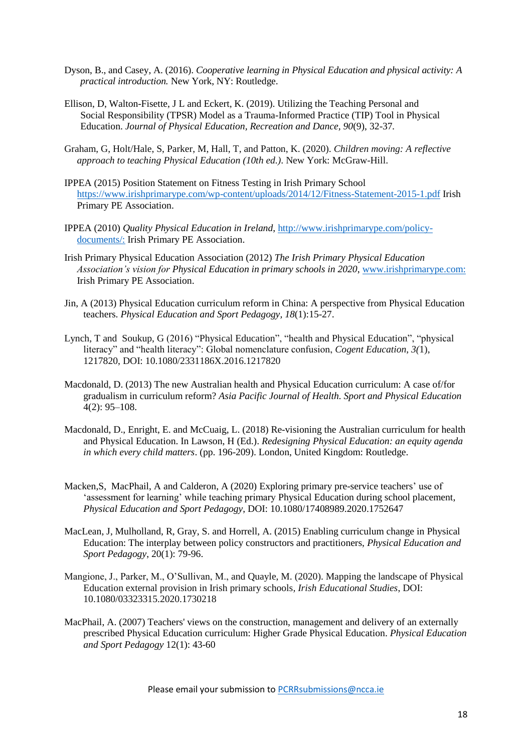- Dyson, B., and Casey, A. (2016). *Cooperative learning in Physical Education and physical activity: A practical introduction.* New York, NY: Routledge.
- Ellison, D, Walton-Fisette, J L and Eckert, K. (2019). Utilizing the Teaching Personal and Social Responsibility (TPSR) Model as a Trauma-Informed Practice (TIP) Tool in Physical Education. *Journal of Physical Education, Recreation and Dance, 90*(9), 32-37*.*
- Graham, G, Holt/Hale, S, Parker, M, Hall, T, and Patton, K. (2020). *Children moving: A reflective approach to teaching Physical Education (10th ed.)*. New York: McGraw-Hill.
- IPPEA (2015) Position Statement on Fitness Testing in Irish Primary School <https://www.irishprimarype.com/wp-content/uploads/2014/12/Fitness-Statement-2015-1.pdf> Irish Primary PE Association.
- IPPEA (2010) *Quality Physical Education in Ireland*, [http://www.irishprimarype.com/policy](http://www.irishprimarype.com/policy-documents/:)[documents/:](http://www.irishprimarype.com/policy-documents/:) Irish Primary PE Association.
- Irish Primary Physical Education Association (2012) *The Irish Primary Physical Education Association's vision for Physical Education in primary schools in 2020*, [www.irishprimarype.com:](http://www.irishprimarype.com/) Irish Primary PE Association.
- Jin, A (2013) Physical Education curriculum reform in China: A perspective from Physical Education teachers. *Physical Education and Sport Pedagogy, 18*(1):15-27.
- Lynch, T and Soukup, G (2016) "Physical Education", "health and Physical Education", "physical literacy" and "health literacy": Global nomenclature confusion, *Cogent Education*, *3(*1), 1217820, DOI: 10.1080/2331186X.2016.1217820
- Macdonald, D. (2013) The new Australian health and Physical Education curriculum: A case of/for gradualism in curriculum reform? *Asia Pacific Journal of Health. Sport and Physical Education* 4(2): 95–108.
- [Macdonald, D.](http://espace.library.uq.edu.au/records/search?searchQueryParams%5Brek_author_id%5D%5Bvalue%5D=518&searchQueryParams%5Brek_author_id%5D%5Blabel%5D=Macdonald%2C+Doune&searchMode=advanced), [Enright, E.](http://espace.library.uq.edu.au/records/search?searchQueryParams%5Brek_author_id%5D%5Bvalue%5D=96392&searchQueryParams%5Brek_author_id%5D%5Blabel%5D=Enright%2C+Eimear&searchMode=advanced) and [McCuaig, L.](http://espace.library.uq.edu.au/records/search?searchQueryParams%5Brek_author_id%5D%5Bvalue%5D=2452&searchQueryParams%5Brek_author_id%5D%5Blabel%5D=McCuaig%2C+Louise&searchMode=advanced) (2018) [Re-visioning the Australian curriculum for health](http://espace.library.uq.edu.au/view/UQ:8e456f8)  and [Physical Education.](http://espace.library.uq.edu.au/view/UQ:8e456f8) In Lawson, H (Ed.). *Redesigning Physical Education: an equity agenda in which every child matters*. (pp. 196-209). London, United Kingdom: Routledge.
- Macken,S, MacPhail, A and Calderon, A (2020) Exploring primary pre-service teachers' use of 'assessment for learning' while teaching primary Physical Education during school placement, *Physical Education and Sport Pedagogy*, DOI: 10.1080/17408989.2020.1752647
- MacLean, J, Mulholland, R, Gray, S. and Horrell, A. (2015) Enabling curriculum change in Physical Education: The interplay between policy constructors and practitioners, *Physical Education and Sport Pedagogy*, 20(1): 79-96.
- Mangione, J., Parker, M., O'Sullivan, M., and Quayle, M. (2020). Mapping the landscape of Physical Education external provision in Irish primary schools*, Irish Educational Studies*, DOI: 10.1080/03323315.2020.1730218
- MacPhail, A. (2007) Teachers' views on the construction, management and delivery of an externally prescribed Physical Education curriculum: Higher Grade Physical Education. *Physical Education and Sport Pedagogy* 12(1): 43-60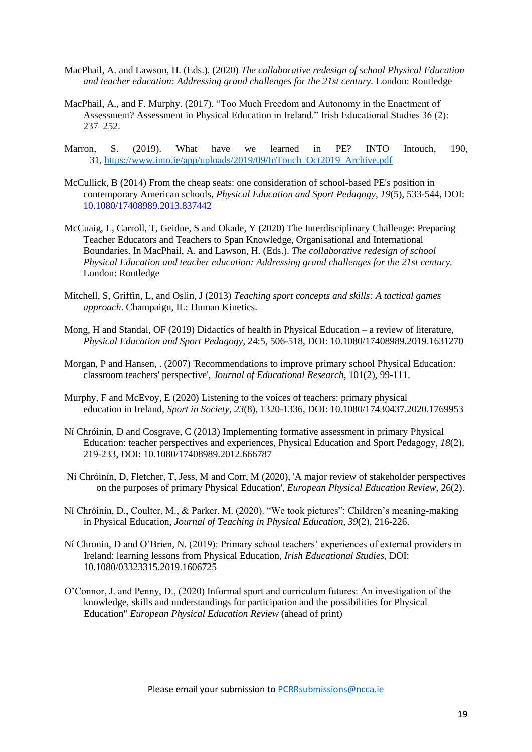- MacPhail, A. and Lawson, H. (Eds.). (2020) *The collaborative redesign of school Physical Education and teacher education: Addressing grand challenges for the 21st century.* London: Routledge
- MacPhail, A., and F. Murphy. (2017). "Too Much Freedom and Autonomy in the Enactment of Assessment? Assessment in Physical Education in Ireland." Irish Educational Studies 36 (2): 237–252.
- Marron, S. (2019). What have we learned in PE? INTO Intouch, 190, 31, [https://www.into.ie/app/uploads/2019/09/InTouch\\_Oct2019\\_Archive.pdf](https://www.into.ie/app/uploads/2019/09/InTouch_Oct2019_Archive.pdf)
- McCullick, B (2014) From the cheap seats: one consideration of school-based PE's position in contemporary American schools, *Physical Education and Sport Pedagogy*, *19*(5), 533-544, DOI: 10.1080/17408989.2013.837442
- McCuaig, L, Carroll, T, Geidne, S and Okade, Y (2020) The Interdisciplinary Challenge: Preparing Teacher Educators and Teachers to Span Knowledge, Organisational and International Boundaries. In MacPhail, A. and Lawson, H. (Eds.). *The collaborative redesign of school Physical Education and teacher education: Addressing grand challenges for the 21st century.* London: Routledge
- Mitchell, S, Griffin, L, and Oslin, J (2013) *Teaching sport concepts and skills: A tactical games approach*. Champaign, IL: Human Kinetics.
- Mong, H and Standal, OF (2019) Didactics of health in Physical Education a review of literature, *Physical Education and Sport Pedagogy*, 24:5, 506-518, DOI: 10.1080/17408989.2019.1631270
- Morgan, P and Hansen, . (2007) 'Recommendations to improve primary school Physical Education: classroom teachers' perspective', *Journal of Educational Research*, 101(2), 99-111.
- Murphy, F and McEvoy, E (2020) Listening to the voices of teachers: primary physical education in Ireland, *Sport in Society*, *23*(8), 1320-1336, DOI: 10.1080/17430437.2020.1769953
- Ní Chróinín, D and Cosgrave, C (2013) Implementing formative assessment in primary Physical Education: teacher perspectives and experiences, Physical Education and Sport Pedagogy, *18*(2), 219-233, DOI: 10.1080/17408989.2012.666787
- Ní Chróinín, D, Fletcher, T, Jess, M and Corr, M (2020), 'A major review of stakeholder perspectives on the purposes of primary Physical Education', *European Physical Education Review*, 26(2).
- Ní Chróinín, D., Coulter, M., & Parker, M. (2020). "We took pictures": Children's meaning-making in Physical Education, *Journal of Teaching in Physical Education, 39*(2), 216-226.
- Ní Chronin, D and O'Brien, N. (2019): Primary school teachers' experiences of external providers in Ireland: learning lessons from Physical Education, *Irish Educational Studies*, DOI: 10.1080/03323315.2019.1606725
- O'Connor, J. and Penny, D., (2020) Informal sport and curriculum futures: An investigation of the knowledge, skills and understandings for participation and the possibilities for Physical Education" *European Physical Education Review* (ahead of print)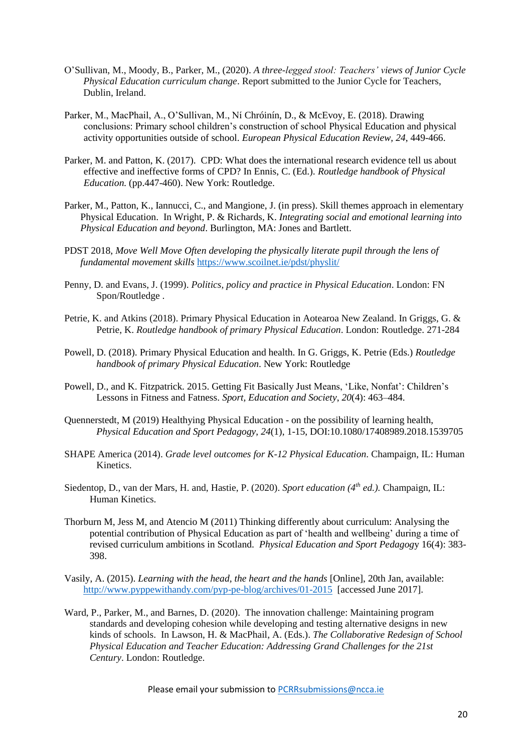- O'Sullivan, M., Moody, B., Parker, M., (2020). *A three-legged stool: Teachers' views of Junior Cycle Physical Education curriculum change*. Report submitted to the Junior Cycle for Teachers, Dublin, Ireland.
- Parker, M., MacPhail, A., O'Sullivan, M., Ní Chróinín, D., & McEvoy, E. (2018). Drawing conclusions: Primary school children's construction of school Physical Education and physical activity opportunities outside of school. *European Physical Education Review, 24*, 449-466.
- Parker, M. and Patton, K. (2017). CPD: What does the international research evidence tell us about effective and ineffective forms of CPD? In Ennis, C. (Ed.). *Routledge handbook of Physical Education.* (pp.447-460). New York: Routledge.
- Parker, M., Patton, K., Iannucci, C., and Mangione, J. (in press). Skill themes approach in elementary Physical Education. In Wright, P. & Richards, K. *Integrating social and emotional learning into Physical Education and beyond*. Burlington, MA: Jones and Bartlett.
- PDST 2018, *Move Well Move Often developing the physically literate pupil through the lens of fundamental movement skills* <https://www.scoilnet.ie/pdst/physlit/>
- Penny, D. and Evans, J. (1999). *Politics, policy and practice in Physical Education*. London: FN Spon/Routledge .
- Petrie, K. and Atkins (2018). Primary Physical Education in Aotearoa New Zealand. In Griggs, G. & Petrie, K. *Routledge handbook of primary Physical Education*. London: Routledge. 271-284
- Powell, D. (2018). Primary Physical Education and health. In G. Griggs, K. Petrie (Eds.) *Routledge handbook of primary Physical Education*. New York: Routledge
- Powell, D., and K. Fitzpatrick. 2015. Getting Fit Basically Just Means, 'Like, Nonfat': Children's Lessons in Fitness and Fatness. *Sport, Education and Society*, *20*(4): 463–484.
- Quennerstedt, M (2019) Healthying Physical Education on the possibility of learning health, *Physical Education and Sport Pedagogy*, *24*(1), 1-15, DOI:10.1080/17408989.2018.1539705
- SHAPE America (2014). *Grade level outcomes for K-12 Physical Education*. Champaign, IL: Human Kinetics.
- Siedentop, D., van der Mars, H. and, Hastie, P. (2020). *Sport education (4th ed.).* Champaign, IL: Human Kinetics.
- Thorburn M, Jess M, and Atencio M (2011) Thinking differently about curriculum: Analysing the potential contribution of Physical Education as part of 'health and wellbeing' during a time of revised curriculum ambitions in Scotland. *Physical Education and Sport Pedagog*y 16(4): 383- 398.
- Vasily, A. (2015). *Learning with the head, the heart and the hands* [Online], 20th Jan, available: <http://www.pyppewithandy.com/pyp-pe-blog/archives/01-2015>[accessed June 2017].
- Ward, P., Parker, M., and Barnes, D. (2020). The innovation challenge: Maintaining program standards and developing cohesion while developing and testing alternative designs in new kinds of schools. In Lawson, H. & MacPhail, A. (Eds.). *The Collaborative Redesign of School Physical Education and Teacher Education: Addressing Grand Challenges for the 21st Century*. London: Routledge.